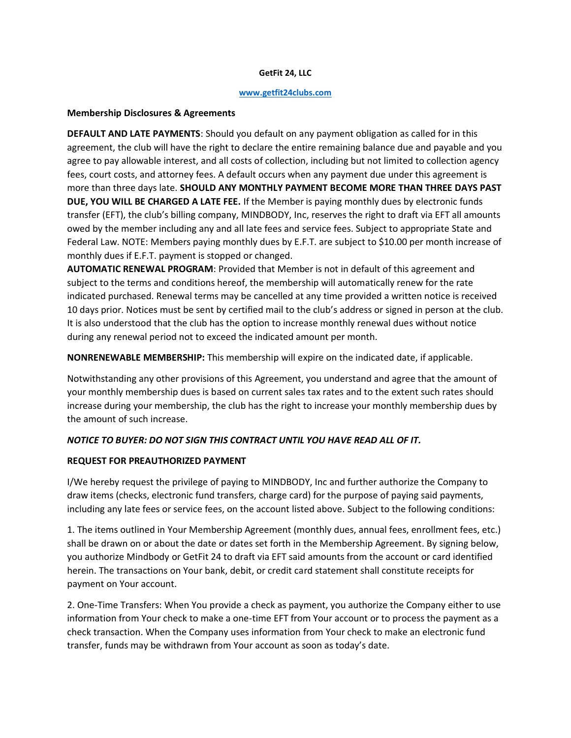#### **GetFit 24, LLC**

#### **[www.getfit24clubs.com](http://www.getfit24clubs.com/)**

#### **Membership Disclosures & Agreements**

**DEFAULT AND LATE PAYMENTS**: Should you default on any payment obligation as called for in this agreement, the club will have the right to declare the entire remaining balance due and payable and you agree to pay allowable interest, and all costs of collection, including but not limited to collection agency fees, court costs, and attorney fees. A default occurs when any payment due under this agreement is more than three days late. **SHOULD ANY MONTHLY PAYMENT BECOME MORE THAN THREE DAYS PAST DUE, YOU WILL BE CHARGED A LATE FEE.** If the Member is paying monthly dues by electronic funds transfer (EFT), the club's billing company, MINDBODY, Inc, reserves the right to draft via EFT all amounts owed by the member including any and all late fees and service fees. Subject to appropriate State and Federal Law. NOTE: Members paying monthly dues by E.F.T. are subject to \$10.00 per month increase of monthly dues if E.F.T. payment is stopped or changed.

**AUTOMATIC RENEWAL PROGRAM**: Provided that Member is not in default of this agreement and subject to the terms and conditions hereof, the membership will automatically renew for the rate indicated purchased. Renewal terms may be cancelled at any time provided a written notice is received 10 days prior. Notices must be sent by certified mail to the club's address or signed in person at the club. It is also understood that the club has the option to increase monthly renewal dues without notice during any renewal period not to exceed the indicated amount per month.

**NONRENEWABLE MEMBERSHIP:** This membership will expire on the indicated date, if applicable.

Notwithstanding any other provisions of this Agreement, you understand and agree that the amount of your monthly membership dues is based on current sales tax rates and to the extent such rates should increase during your membership, the club has the right to increase your monthly membership dues by the amount of such increase.

#### *NOTICE TO BUYER: DO NOT SIGN THIS CONTRACT UNTIL YOU HAVE READ ALL OF IT.*

#### **REQUEST FOR PREAUTHORIZED PAYMENT**

I/We hereby request the privilege of paying to MINDBODY, Inc and further authorize the Company to draw items (checks, electronic fund transfers, charge card) for the purpose of paying said payments, including any late fees or service fees, on the account listed above. Subject to the following conditions:

1. The items outlined in Your Membership Agreement (monthly dues, annual fees, enrollment fees, etc.) shall be drawn on or about the date or dates set forth in the Membership Agreement. By signing below, you authorize Mindbody or GetFit 24 to draft via EFT said amounts from the account or card identified herein. The transactions on Your bank, debit, or credit card statement shall constitute receipts for payment on Your account.

2. One-Time Transfers: When You provide a check as payment, you authorize the Company either to use information from Your check to make a one-time EFT from Your account or to process the payment as a check transaction. When the Company uses information from Your check to make an electronic fund transfer, funds may be withdrawn from Your account as soon as today's date.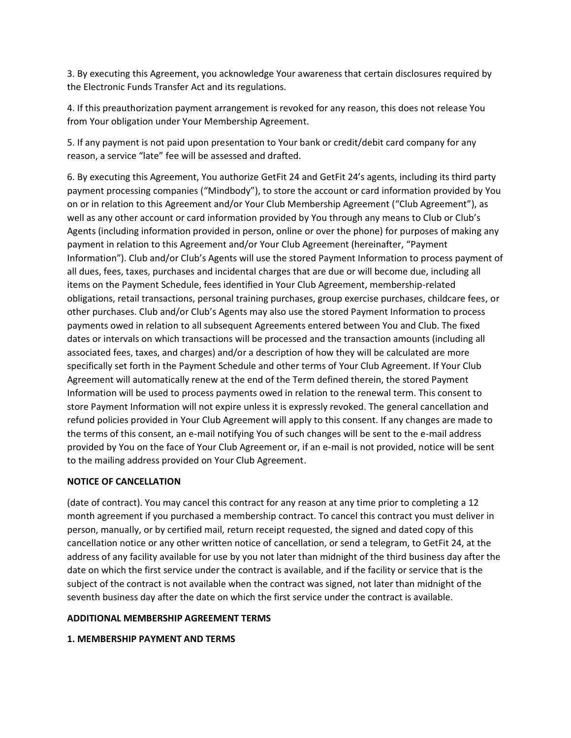3. By executing this Agreement, you acknowledge Your awareness that certain disclosures required by the Electronic Funds Transfer Act and its regulations.

4. If this preauthorization payment arrangement is revoked for any reason, this does not release You from Your obligation under Your Membership Agreement.

5. If any payment is not paid upon presentation to Your bank or credit/debit card company for any reason, a service "late" fee will be assessed and drafted.

6. By executing this Agreement, You authorize GetFit 24 and GetFit 24's agents, including its third party payment processing companies ("Mindbody"), to store the account or card information provided by You on or in relation to this Agreement and/or Your Club Membership Agreement ("Club Agreement"), as well as any other account or card information provided by You through any means to Club or Club's Agents (including information provided in person, online or over the phone) for purposes of making any payment in relation to this Agreement and/or Your Club Agreement (hereinafter, "Payment Information"). Club and/or Club's Agents will use the stored Payment Information to process payment of all dues, fees, taxes, purchases and incidental charges that are due or will become due, including all items on the Payment Schedule, fees identified in Your Club Agreement, membership-related obligations, retail transactions, personal training purchases, group exercise purchases, childcare fees, or other purchases. Club and/or Club's Agents may also use the stored Payment Information to process payments owed in relation to all subsequent Agreements entered between You and Club. The fixed dates or intervals on which transactions will be processed and the transaction amounts (including all associated fees, taxes, and charges) and/or a description of how they will be calculated are more specifically set forth in the Payment Schedule and other terms of Your Club Agreement. If Your Club Agreement will automatically renew at the end of the Term defined therein, the stored Payment Information will be used to process payments owed in relation to the renewal term. This consent to store Payment Information will not expire unless it is expressly revoked. The general cancellation and refund policies provided in Your Club Agreement will apply to this consent. If any changes are made to the terms of this consent, an e-mail notifying You of such changes will be sent to the e-mail address provided by You on the face of Your Club Agreement or, if an e-mail is not provided, notice will be sent to the mailing address provided on Your Club Agreement.

# **NOTICE OF CANCELLATION**

(date of contract). You may cancel this contract for any reason at any time prior to completing a 12 month agreement if you purchased a membership contract. To cancel this contract you must deliver in person, manually, or by certified mail, return receipt requested, the signed and dated copy of this cancellation notice or any other written notice of cancellation, or send a telegram, to GetFit 24, at the address of any facility available for use by you not later than midnight of the third business day after the date on which the first service under the contract is available, and if the facility or service that is the subject of the contract is not available when the contract was signed, not later than midnight of the seventh business day after the date on which the first service under the contract is available.

#### **ADDITIONAL MEMBERSHIP AGREEMENT TERMS**

# **1. MEMBERSHIP PAYMENT AND TERMS**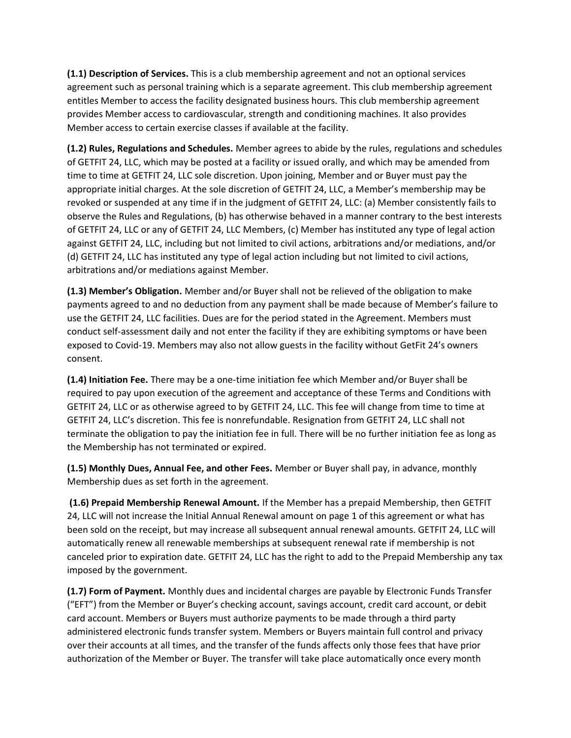**(1.1) Description of Services.** This is a club membership agreement and not an optional services agreement such as personal training which is a separate agreement. This club membership agreement entitles Member to access the facility designated business hours. This club membership agreement provides Member access to cardiovascular, strength and conditioning machines. It also provides Member access to certain exercise classes if available at the facility.

**(1.2) Rules, Regulations and Schedules.** Member agrees to abide by the rules, regulations and schedules of GETFIT 24, LLC, which may be posted at a facility or issued orally, and which may be amended from time to time at GETFIT 24, LLC sole discretion. Upon joining, Member and or Buyer must pay the appropriate initial charges. At the sole discretion of GETFIT 24, LLC, a Member's membership may be revoked or suspended at any time if in the judgment of GETFIT 24, LLC: (a) Member consistently fails to observe the Rules and Regulations, (b) has otherwise behaved in a manner contrary to the best interests of GETFIT 24, LLC or any of GETFIT 24, LLC Members, (c) Member has instituted any type of legal action against GETFIT 24, LLC, including but not limited to civil actions, arbitrations and/or mediations, and/or (d) GETFIT 24, LLC has instituted any type of legal action including but not limited to civil actions, arbitrations and/or mediations against Member.

**(1.3) Member's Obligation.** Member and/or Buyer shall not be relieved of the obligation to make payments agreed to and no deduction from any payment shall be made because of Member's failure to use the GETFIT 24, LLC facilities. Dues are for the period stated in the Agreement. Members must conduct self-assessment daily and not enter the facility if they are exhibiting symptoms or have been exposed to Covid-19. Members may also not allow guests in the facility without GetFit 24's owners consent.

**(1.4) Initiation Fee.** There may be a one-time initiation fee which Member and/or Buyer shall be required to pay upon execution of the agreement and acceptance of these Terms and Conditions with GETFIT 24, LLC or as otherwise agreed to by GETFIT 24, LLC. This fee will change from time to time at GETFIT 24, LLC's discretion. This fee is nonrefundable. Resignation from GETFIT 24, LLC shall not terminate the obligation to pay the initiation fee in full. There will be no further initiation fee as long as the Membership has not terminated or expired.

**(1.5) Monthly Dues, Annual Fee, and other Fees.** Member or Buyer shall pay, in advance, monthly Membership dues as set forth in the agreement.

**(1.6) Prepaid Membership Renewal Amount.** If the Member has a prepaid Membership, then GETFIT 24, LLC will not increase the Initial Annual Renewal amount on page 1 of this agreement or what has been sold on the receipt, but may increase all subsequent annual renewal amounts. GETFIT 24, LLC will automatically renew all renewable memberships at subsequent renewal rate if membership is not canceled prior to expiration date. GETFIT 24, LLC has the right to add to the Prepaid Membership any tax imposed by the government.

**(1.7) Form of Payment.** Monthly dues and incidental charges are payable by Electronic Funds Transfer ("EFT") from the Member or Buyer's checking account, savings account, credit card account, or debit card account. Members or Buyers must authorize payments to be made through a third party administered electronic funds transfer system. Members or Buyers maintain full control and privacy over their accounts at all times, and the transfer of the funds affects only those fees that have prior authorization of the Member or Buyer. The transfer will take place automatically once every month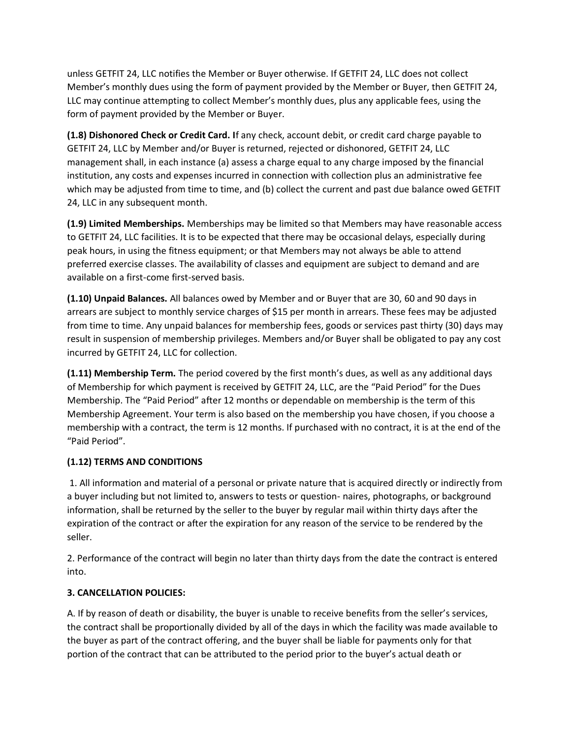unless GETFIT 24, LLC notifies the Member or Buyer otherwise. If GETFIT 24, LLC does not collect Member's monthly dues using the form of payment provided by the Member or Buyer, then GETFIT 24, LLC may continue attempting to collect Member's monthly dues, plus any applicable fees, using the form of payment provided by the Member or Buyer.

**(1.8) Dishonored Check or Credit Card. I**f any check, account debit, or credit card charge payable to GETFIT 24, LLC by Member and/or Buyer is returned, rejected or dishonored, GETFIT 24, LLC management shall, in each instance (a) assess a charge equal to any charge imposed by the financial institution, any costs and expenses incurred in connection with collection plus an administrative fee which may be adjusted from time to time, and (b) collect the current and past due balance owed GETFIT 24, LLC in any subsequent month.

**(1.9) Limited Memberships.** Memberships may be limited so that Members may have reasonable access to GETFIT 24, LLC facilities. It is to be expected that there may be occasional delays, especially during peak hours, in using the fitness equipment; or that Members may not always be able to attend preferred exercise classes. The availability of classes and equipment are subject to demand and are available on a first-come first-served basis.

**(1.10) Unpaid Balances.** All balances owed by Member and or Buyer that are 30, 60 and 90 days in arrears are subject to monthly service charges of \$15 per month in arrears. These fees may be adjusted from time to time. Any unpaid balances for membership fees, goods or services past thirty (30) days may result in suspension of membership privileges. Members and/or Buyer shall be obligated to pay any cost incurred by GETFIT 24, LLC for collection.

**(1.11) Membership Term.** The period covered by the first month's dues, as well as any additional days of Membership for which payment is received by GETFIT 24, LLC, are the "Paid Period" for the Dues Membership. The "Paid Period" after 12 months or dependable on membership is the term of this Membership Agreement. Your term is also based on the membership you have chosen, if you choose a membership with a contract, the term is 12 months. If purchased with no contract, it is at the end of the "Paid Period".

# **(1.12) TERMS AND CONDITIONS**

1. All information and material of a personal or private nature that is acquired directly or indirectly from a buyer including but not limited to, answers to tests or question- naires, photographs, or background information, shall be returned by the seller to the buyer by regular mail within thirty days after the expiration of the contract or after the expiration for any reason of the service to be rendered by the seller.

2. Performance of the contract will begin no later than thirty days from the date the contract is entered into.

# **3. CANCELLATION POLICIES:**

A. If by reason of death or disability, the buyer is unable to receive benefits from the seller's services, the contract shall be proportionally divided by all of the days in which the facility was made available to the buyer as part of the contract offering, and the buyer shall be liable for payments only for that portion of the contract that can be attributed to the period prior to the buyer's actual death or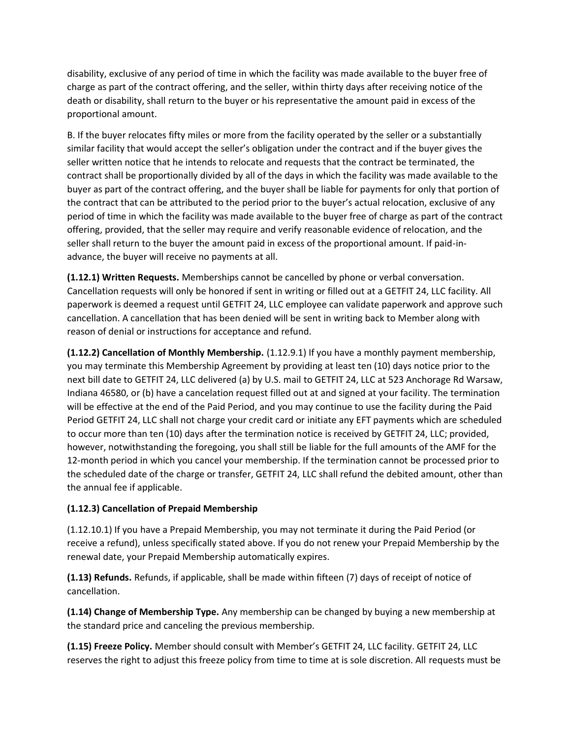disability, exclusive of any period of time in which the facility was made available to the buyer free of charge as part of the contract offering, and the seller, within thirty days after receiving notice of the death or disability, shall return to the buyer or his representative the amount paid in excess of the proportional amount.

B. If the buyer relocates fifty miles or more from the facility operated by the seller or a substantially similar facility that would accept the seller's obligation under the contract and if the buyer gives the seller written notice that he intends to relocate and requests that the contract be terminated, the contract shall be proportionally divided by all of the days in which the facility was made available to the buyer as part of the contract offering, and the buyer shall be liable for payments for only that portion of the contract that can be attributed to the period prior to the buyer's actual relocation, exclusive of any period of time in which the facility was made available to the buyer free of charge as part of the contract offering, provided, that the seller may require and verify reasonable evidence of relocation, and the seller shall return to the buyer the amount paid in excess of the proportional amount. If paid-inadvance, the buyer will receive no payments at all.

**(1.12.1) Written Requests.** Memberships cannot be cancelled by phone or verbal conversation. Cancellation requests will only be honored if sent in writing or filled out at a GETFIT 24, LLC facility. All paperwork is deemed a request until GETFIT 24, LLC employee can validate paperwork and approve such cancellation. A cancellation that has been denied will be sent in writing back to Member along with reason of denial or instructions for acceptance and refund.

**(1.12.2) Cancellation of Monthly Membership.** (1.12.9.1) If you have a monthly payment membership, you may terminate this Membership Agreement by providing at least ten (10) days notice prior to the next bill date to GETFIT 24, LLC delivered (a) by U.S. mail to GETFIT 24, LLC at 523 Anchorage Rd Warsaw, Indiana 46580, or (b) have a cancelation request filled out at and signed at your facility. The termination will be effective at the end of the Paid Period, and you may continue to use the facility during the Paid Period GETFIT 24, LLC shall not charge your credit card or initiate any EFT payments which are scheduled to occur more than ten (10) days after the termination notice is received by GETFIT 24, LLC; provided, however, notwithstanding the foregoing, you shall still be liable for the full amounts of the AMF for the 12-month period in which you cancel your membership. If the termination cannot be processed prior to the scheduled date of the charge or transfer, GETFIT 24, LLC shall refund the debited amount, other than the annual fee if applicable.

# **(1.12.3) Cancellation of Prepaid Membership**

(1.12.10.1) If you have a Prepaid Membership, you may not terminate it during the Paid Period (or receive a refund), unless specifically stated above. If you do not renew your Prepaid Membership by the renewal date, your Prepaid Membership automatically expires.

**(1.13) Refunds.** Refunds, if applicable, shall be made within fifteen (7) days of receipt of notice of cancellation.

**(1.14) Change of Membership Type.** Any membership can be changed by buying a new membership at the standard price and canceling the previous membership.

**(1.15) Freeze Policy.** Member should consult with Member's GETFIT 24, LLC facility. GETFIT 24, LLC reserves the right to adjust this freeze policy from time to time at is sole discretion. All requests must be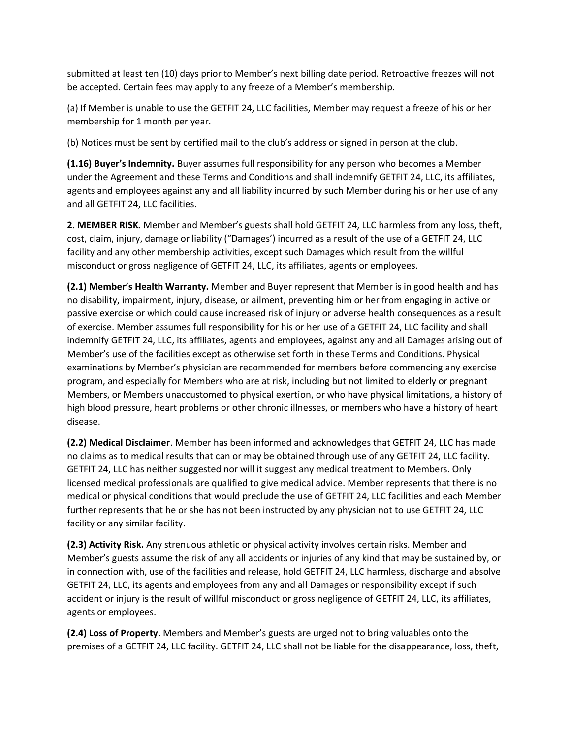submitted at least ten (10) days prior to Member's next billing date period. Retroactive freezes will not be accepted. Certain fees may apply to any freeze of a Member's membership.

(a) If Member is unable to use the GETFIT 24, LLC facilities, Member may request a freeze of his or her membership for 1 month per year.

(b) Notices must be sent by certified mail to the club's address or signed in person at the club.

**(1.16) Buyer's Indemnity.** Buyer assumes full responsibility for any person who becomes a Member under the Agreement and these Terms and Conditions and shall indemnify GETFIT 24, LLC, its affiliates, agents and employees against any and all liability incurred by such Member during his or her use of any and all GETFIT 24, LLC facilities.

**2. MEMBER RISK.** Member and Member's guests shall hold GETFIT 24, LLC harmless from any loss, theft, cost, claim, injury, damage or liability ("Damages') incurred as a result of the use of a GETFIT 24, LLC facility and any other membership activities, except such Damages which result from the willful misconduct or gross negligence of GETFIT 24, LLC, its affiliates, agents or employees.

**(2.1) Member's Health Warranty.** Member and Buyer represent that Member is in good health and has no disability, impairment, injury, disease, or ailment, preventing him or her from engaging in active or passive exercise or which could cause increased risk of injury or adverse health consequences as a result of exercise. Member assumes full responsibility for his or her use of a GETFIT 24, LLC facility and shall indemnify GETFIT 24, LLC, its affiliates, agents and employees, against any and all Damages arising out of Member's use of the facilities except as otherwise set forth in these Terms and Conditions. Physical examinations by Member's physician are recommended for members before commencing any exercise program, and especially for Members who are at risk, including but not limited to elderly or pregnant Members, or Members unaccustomed to physical exertion, or who have physical limitations, a history of high blood pressure, heart problems or other chronic illnesses, or members who have a history of heart disease.

**(2.2) Medical Disclaimer**. Member has been informed and acknowledges that GETFIT 24, LLC has made no claims as to medical results that can or may be obtained through use of any GETFIT 24, LLC facility. GETFIT 24, LLC has neither suggested nor will it suggest any medical treatment to Members. Only licensed medical professionals are qualified to give medical advice. Member represents that there is no medical or physical conditions that would preclude the use of GETFIT 24, LLC facilities and each Member further represents that he or she has not been instructed by any physician not to use GETFIT 24, LLC facility or any similar facility.

**(2.3) Activity Risk.** Any strenuous athletic or physical activity involves certain risks. Member and Member's guests assume the risk of any all accidents or injuries of any kind that may be sustained by, or in connection with, use of the facilities and release, hold GETFIT 24, LLC harmless, discharge and absolve GETFIT 24, LLC, its agents and employees from any and all Damages or responsibility except if such accident or injury is the result of willful misconduct or gross negligence of GETFIT 24, LLC, its affiliates, agents or employees.

**(2.4) Loss of Property.** Members and Member's guests are urged not to bring valuables onto the premises of a GETFIT 24, LLC facility. GETFIT 24, LLC shall not be liable for the disappearance, loss, theft,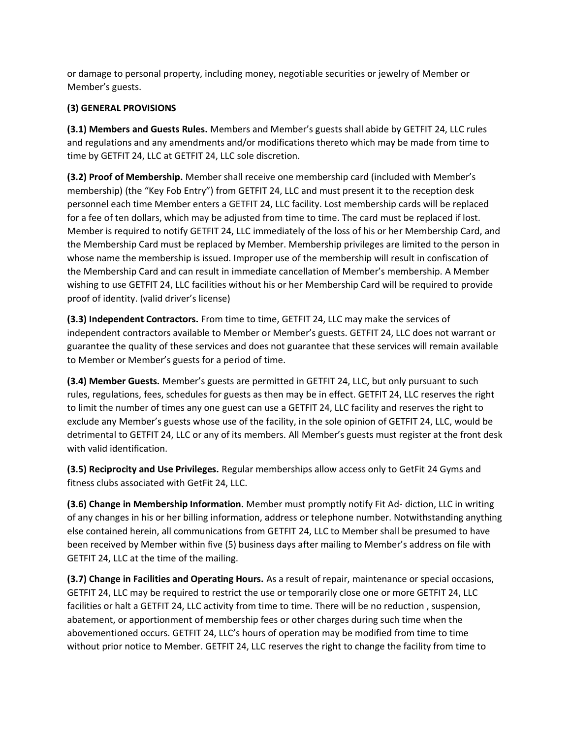or damage to personal property, including money, negotiable securities or jewelry of Member or Member's guests.

# **(3) GENERAL PROVISIONS**

**(3.1) Members and Guests Rules.** Members and Member's guests shall abide by GETFIT 24, LLC rules and regulations and any amendments and/or modifications thereto which may be made from time to time by GETFIT 24, LLC at GETFIT 24, LLC sole discretion.

**(3.2) Proof of Membership.** Member shall receive one membership card (included with Member's membership) (the "Key Fob Entry") from GETFIT 24, LLC and must present it to the reception desk personnel each time Member enters a GETFIT 24, LLC facility. Lost membership cards will be replaced for a fee of ten dollars, which may be adjusted from time to time. The card must be replaced if lost. Member is required to notify GETFIT 24, LLC immediately of the loss of his or her Membership Card, and the Membership Card must be replaced by Member. Membership privileges are limited to the person in whose name the membership is issued. Improper use of the membership will result in confiscation of the Membership Card and can result in immediate cancellation of Member's membership. A Member wishing to use GETFIT 24, LLC facilities without his or her Membership Card will be required to provide proof of identity. (valid driver's license)

**(3.3) Independent Contractors.** From time to time, GETFIT 24, LLC may make the services of independent contractors available to Member or Member's guests. GETFIT 24, LLC does not warrant or guarantee the quality of these services and does not guarantee that these services will remain available to Member or Member's guests for a period of time.

**(3.4) Member Guests.** Member's guests are permitted in GETFIT 24, LLC, but only pursuant to such rules, regulations, fees, schedules for guests as then may be in effect. GETFIT 24, LLC reserves the right to limit the number of times any one guest can use a GETFIT 24, LLC facility and reserves the right to exclude any Member's guests whose use of the facility, in the sole opinion of GETFIT 24, LLC, would be detrimental to GETFIT 24, LLC or any of its members. All Member's guests must register at the front desk with valid identification.

**(3.5) Reciprocity and Use Privileges.** Regular memberships allow access only to GetFit 24 Gyms and fitness clubs associated with GetFit 24, LLC.

**(3.6) Change in Membership Information.** Member must promptly notify Fit Ad- diction, LLC in writing of any changes in his or her billing information, address or telephone number. Notwithstanding anything else contained herein, all communications from GETFIT 24, LLC to Member shall be presumed to have been received by Member within five (5) business days after mailing to Member's address on file with GETFIT 24, LLC at the time of the mailing.

**(3.7) Change in Facilities and Operating Hours.** As a result of repair, maintenance or special occasions, GETFIT 24, LLC may be required to restrict the use or temporarily close one or more GETFIT 24, LLC facilities or halt a GETFIT 24, LLC activity from time to time. There will be no reduction , suspension, abatement, or apportionment of membership fees or other charges during such time when the abovementioned occurs. GETFIT 24, LLC's hours of operation may be modified from time to time without prior notice to Member. GETFIT 24, LLC reserves the right to change the facility from time to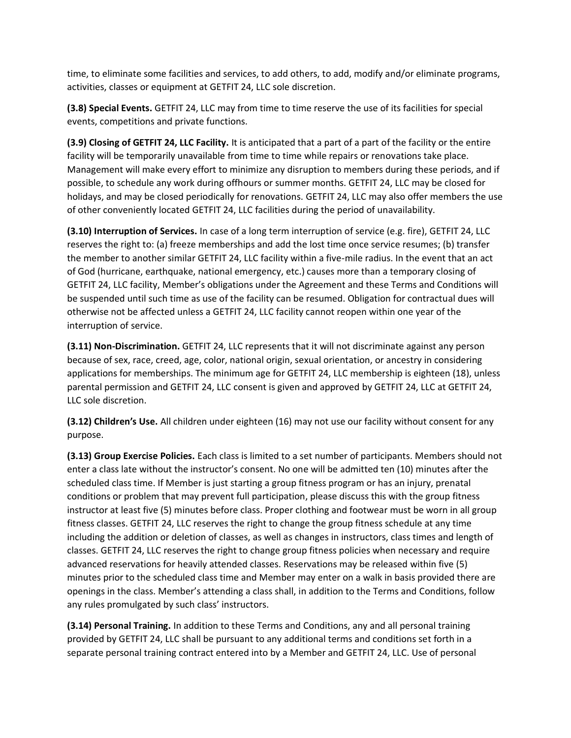time, to eliminate some facilities and services, to add others, to add, modify and/or eliminate programs, activities, classes or equipment at GETFIT 24, LLC sole discretion.

**(3.8) Special Events.** GETFIT 24, LLC may from time to time reserve the use of its facilities for special events, competitions and private functions.

**(3.9) Closing of GETFIT 24, LLC Facility.** It is anticipated that a part of a part of the facility or the entire facility will be temporarily unavailable from time to time while repairs or renovations take place. Management will make every effort to minimize any disruption to members during these periods, and if possible, to schedule any work during offhours or summer months. GETFIT 24, LLC may be closed for holidays, and may be closed periodically for renovations. GETFIT 24, LLC may also offer members the use of other conveniently located GETFIT 24, LLC facilities during the period of unavailability.

**(3.10) Interruption of Services.** In case of a long term interruption of service (e.g. fire), GETFIT 24, LLC reserves the right to: (a) freeze memberships and add the lost time once service resumes; (b) transfer the member to another similar GETFIT 24, LLC facility within a five-mile radius. In the event that an act of God (hurricane, earthquake, national emergency, etc.) causes more than a temporary closing of GETFIT 24, LLC facility, Member's obligations under the Agreement and these Terms and Conditions will be suspended until such time as use of the facility can be resumed. Obligation for contractual dues will otherwise not be affected unless a GETFIT 24, LLC facility cannot reopen within one year of the interruption of service.

**(3.11) Non-Discrimination.** GETFIT 24, LLC represents that it will not discriminate against any person because of sex, race, creed, age, color, national origin, sexual orientation, or ancestry in considering applications for memberships. The minimum age for GETFIT 24, LLC membership is eighteen (18), unless parental permission and GETFIT 24, LLC consent is given and approved by GETFIT 24, LLC at GETFIT 24, LLC sole discretion.

**(3.12) Children's Use.** All children under eighteen (16) may not use our facility without consent for any purpose.

**(3.13) Group Exercise Policies.** Each class is limited to a set number of participants. Members should not enter a class late without the instructor's consent. No one will be admitted ten (10) minutes after the scheduled class time. If Member is just starting a group fitness program or has an injury, prenatal conditions or problem that may prevent full participation, please discuss this with the group fitness instructor at least five (5) minutes before class. Proper clothing and footwear must be worn in all group fitness classes. GETFIT 24, LLC reserves the right to change the group fitness schedule at any time including the addition or deletion of classes, as well as changes in instructors, class times and length of classes. GETFIT 24, LLC reserves the right to change group fitness policies when necessary and require advanced reservations for heavily attended classes. Reservations may be released within five (5) minutes prior to the scheduled class time and Member may enter on a walk in basis provided there are openings in the class. Member's attending a class shall, in addition to the Terms and Conditions, follow any rules promulgated by such class' instructors.

**(3.14) Personal Training.** In addition to these Terms and Conditions, any and all personal training provided by GETFIT 24, LLC shall be pursuant to any additional terms and conditions set forth in a separate personal training contract entered into by a Member and GETFIT 24, LLC. Use of personal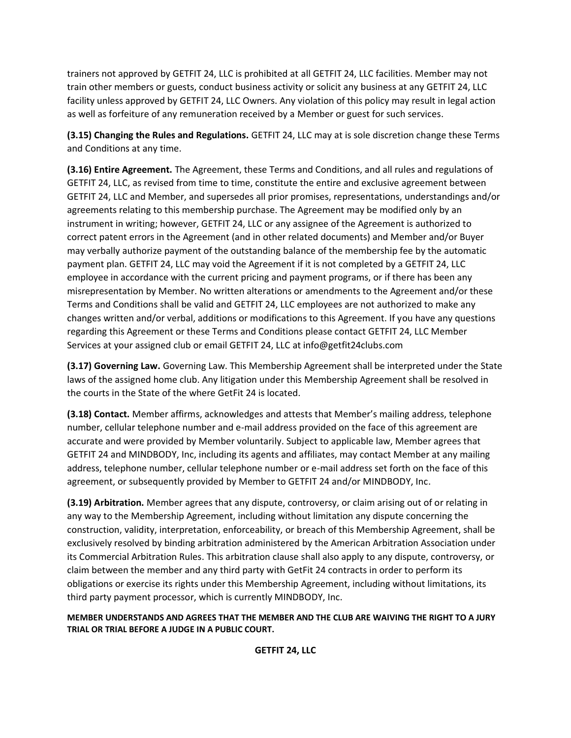trainers not approved by GETFIT 24, LLC is prohibited at all GETFIT 24, LLC facilities. Member may not train other members or guests, conduct business activity or solicit any business at any GETFIT 24, LLC facility unless approved by GETFIT 24, LLC Owners. Any violation of this policy may result in legal action as well as forfeiture of any remuneration received by a Member or guest for such services.

**(3.15) Changing the Rules and Regulations.** GETFIT 24, LLC may at is sole discretion change these Terms and Conditions at any time.

**(3.16) Entire Agreement.** The Agreement, these Terms and Conditions, and all rules and regulations of GETFIT 24, LLC, as revised from time to time, constitute the entire and exclusive agreement between GETFIT 24, LLC and Member, and supersedes all prior promises, representations, understandings and/or agreements relating to this membership purchase. The Agreement may be modified only by an instrument in writing; however, GETFIT 24, LLC or any assignee of the Agreement is authorized to correct patent errors in the Agreement (and in other related documents) and Member and/or Buyer may verbally authorize payment of the outstanding balance of the membership fee by the automatic payment plan. GETFIT 24, LLC may void the Agreement if it is not completed by a GETFIT 24, LLC employee in accordance with the current pricing and payment programs, or if there has been any misrepresentation by Member. No written alterations or amendments to the Agreement and/or these Terms and Conditions shall be valid and GETFIT 24, LLC employees are not authorized to make any changes written and/or verbal, additions or modifications to this Agreement. If you have any questions regarding this Agreement or these Terms and Conditions please contact GETFIT 24, LLC Member Services at your assigned club or email GETFIT 24, LLC at info@getfit24clubs.com

**(3.17) Governing Law.** Governing Law. This Membership Agreement shall be interpreted under the State laws of the assigned home club. Any litigation under this Membership Agreement shall be resolved in the courts in the State of the where GetFit 24 is located.

**(3.18) Contact.** Member affirms, acknowledges and attests that Member's mailing address, telephone number, cellular telephone number and e-mail address provided on the face of this agreement are accurate and were provided by Member voluntarily. Subject to applicable law, Member agrees that GETFIT 24 and MINDBODY, Inc, including its agents and affiliates, may contact Member at any mailing address, telephone number, cellular telephone number or e-mail address set forth on the face of this agreement, or subsequently provided by Member to GETFIT 24 and/or MINDBODY, Inc.

**(3.19) Arbitration.** Member agrees that any dispute, controversy, or claim arising out of or relating in any way to the Membership Agreement, including without limitation any dispute concerning the construction, validity, interpretation, enforceability, or breach of this Membership Agreement, shall be exclusively resolved by binding arbitration administered by the American Arbitration Association under its Commercial Arbitration Rules. This arbitration clause shall also apply to any dispute, controversy, or claim between the member and any third party with GetFit 24 contracts in order to perform its obligations or exercise its rights under this Membership Agreement, including without limitations, its third party payment processor, which is currently MINDBODY, Inc.

**MEMBER UNDERSTANDS AND AGREES THAT THE MEMBER AND THE CLUB ARE WAIVING THE RIGHT TO A JURY TRIAL OR TRIAL BEFORE A JUDGE IN A PUBLIC COURT.**